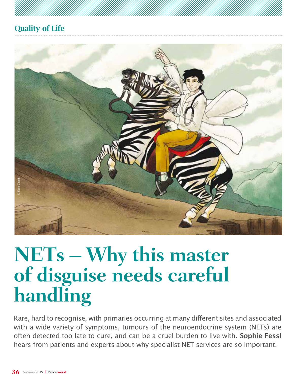

# **NETs – Why this master of disguise needs careful handling**

Rare, hard to recognise, with primaries occurring at many different sites and associated with a wide variety of symptoms, tumours of the neuroendocrine system (NETs) are often detected too late to cure, and can be a cruel burden to live with. **Sophie Fessl**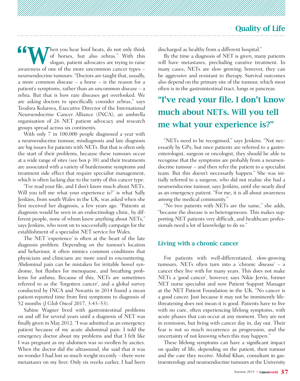**10 When** you hear hoof beats, do not only think<br>of horses, but also zebras." With this<br>slogan, patient advocates are trying to raise of horses, but also zebras." With this slogan, patient advocates are trying to raise awareness of one of the more uncommon cancer types – neuroendocrine tumours. "Doctors are taught that, usually, a more common disease – a horse – is the reason for a patient's symptoms, rather than an uncommon disease – a zebra. But that is how rare diseases get overlooked. We are asking doctors to specifically consider zebras," says Teodora Kolarova, Executive Director of the International Neuroendocrine Cancer Alliance (INCA), an umbrella organisation of 26 NET patient advocacy and research groups spread across six continents.

With only 7 in 100,000 people diagnosed a year with a neuroendocrine tumour, misdiagnosis and late diagnosis are big issues for patients with NETs. But that is often only the start of their problems, because these tumours occur at a wide range of sites (see box p 38) and their treatments are associated with a variety of burdensome symptoms and treatment side effect that require specialist management, which is often lacking due to the rarity of this cancer type.

"I've read your file, and I don't know much about NETs. Will you tell me what your experience is?" is what Sally Jenkins, from south Wales in the UK, was asked when she first received her diagnosis, a few years ago. "Patients at diagnosis would be seen in an endocrinology clinic, by different people, none of whom knew anything about NETs," says Jenkins, who went on to successfully campaign for the establishment of a specialist NET service for Wales.

The NET 'experience' is often at the heart of the late diagnosis problem. Depending on the tumour's location and behaviour, it often mimics common conditions that physicians and clinicians are more used to encountering. Abdominal pain can be mistaken for irritable bowel syndrome, hot flushes for menopause, and breathing problems for asthma. Because of this, NETs are sometimes referred to as the 'forgotten cancer', and a global survey conducted by INCA and Novartis in 2014 found a mean patient-reported time from first symptoms to diagnosis of 52 months (*J Glob Oncol* 2017, 3:43–53).

Sabine Wagner lived with gastrointestinal problems on and off for several years until a diagnosis of NET was finally given in May 2012. "I was admitted as an emergency patient because of my acute abdominal pain. I told the emergency doctor about my problems and that I felt like I was pregnant as my abdomen was so swollen by ascites. When the doctor did the ultrasound, she said that it was no wonder I had lost so much weight recently – there were metastases on my liver. Only six weeks earlier, I had been discharged as healthy from a different hospital."

By the time a diagnosis of NET is given, many patients will have metastases, precluding curative treatment. In many cases, NETs are slow growing; however, they can be aggressive and resistant to therapy. Survival outcomes also depend on the primary site of the tumour, which most often is in the gastrointestinal tract, lungs or pancreas.

# "I've read your file. I don't know much about NETs. Will you tell me what your experience is?"

"NETs need to be recognised," says Jenkins. "Not necessarily by GPs, but once patients are referred to a gastroenterologist, surgeon or oncologist, they should be able to recognise that the symptoms are probably from a neuroendocrine tumour – and then refer the patient to a specialist team. But this doesn't necessarily happen." She was initially referred to a surgeon, who did not realise she had a neuroendocrine tumour, says Jenkins, until she nearly died as an emergency patient. "For me, it is all about awareness among the medical community."

"No two patients with NETs are the same," she adds, "because the disease is so heterogeneous. This makes supporting NET patients very difficult, and healthcare professionals need a lot of knowledge to do so."

#### Living with a chronic cancer

For patients with well-differentiated, slow-growing tumours, NETs often turn into a 'chronic disease' – a cancer they live with for many years. This does not make NETs a 'good cancer', however, says Nikie Jervis, former NET nurse specialist and now Patient Support Manager at the NET Patient Foundation in the UK. "No cancer is a good cancer. Just because it may not be imminently lifethreatening does not mean it is good. Patients have to live with no cure, often experiencing lifelong symptoms, with acute phases that can occur at any moment. They are not in remission, but living with cancer day in, day out. Their fear is not so much recurrence as progression, and the uncertainty of not knowing when this may happen."

These lifelong symptoms can have a significant impact on quality of life, depending on the patient, their tumour and the care they receive. Mohid Khan, consultant in gastroenterology and neuroendocrine tumours at the University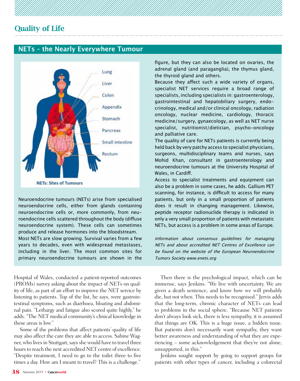#### **NETs – the Nearly Everywhere Tumour**



Neuroendocrine tumours (NETs) arise from specialised neuroendocrine cells, either from glands containing neuroendocrine cells or, more commonly, from neuroendocrine cells scattered throughout the body (diffuse neuroendocrine system). These cells can sometimes produce and release hormones into the bloodstream. Most NETs are slow growing. Survival varies from a few years to decades, even with widespread metastases, including in the liver. The most common sites for primary neuroendocrine tumours are shown in the

Hospital of Wales, conducted a patient-reported outcomes (PROMs) survey asking about the impact of NETs on quality of life, as part of an effort to improve the NET service by listening to patients. Top of the list, he says, were gastrointestinal symptoms, such as diarrhoea, bloating and abdominal pain. "Lethargy and fatigue also scored quite highly," he adds. "The NET medical community's clinical knowledge in these areas is low."

Some of the problems that affect patients' quality of life may also affect the care they are able to access. Sabine Wagner, who lives in Stuttgart, says she would have to travel three hours to reach the next accredited NET centre of excellence. "Despite treatment, I need to go to the toilet three to five times a day. How am I meant to travel? This is a challenge."

figure, but they can also be located on ovaries, the adrenal gland (and paraganglia), the thymus gland, the thyroid gland and others.

Because they affect such a wide variety of organs, specialist NET services require a broad range of specialists, including specialists in: gastroenterology, gastrointestinal and hepatobiliary surgery, endocrinology, medical and/or clinical oncology, radiation oncology, nuclear medicine, cardiology, thoracic medicine/surgery, gynaecology, as well as NET nurse specialist, nutritionist/dietician, psycho-oncology and palliative care.

The quality of care for NETs patients is currently being held back by very patchy access to specialist physicians, surgeons, multidisciplinary teams and nurses, says Mohid Khan, consultant in gastroenterology and neuroendocrine tumours at the University Hospital of Wales, in Cardiff.

Access to specialist treatments and equipment can also be a problem in some cases, he adds. Gallium PET scanning, for instance, is difficult to access for many patients, but only in a small proportion of patients does it result in changing management. Likewise, peptide receptor radionuclide therapy is indicated in only a very small proportion of patients with metastatic NETs, but access is a problem in some areas of Europe.

Information about consensus guidelines for managing NETs and about accredited NET Centres of Excellence can be found on the website of the European Neuroendocrine Tumors Society www.enets.org

Then there is the psychological impact, which can be immense, says Jenkins. "We live with uncertainty. We are given a death sentence, and know how we will probably die, but not when. This needs to be recognised." Jervis adds that the long-term, chronic character of NETs can lead to problems in the social sphere. "Because NET patients don't always look sick, there is less sympathy, it is assumed that things are OK. This is a huge issue, a hidden issue. But patients don't necessarily want sympathy, they want better awareness and understanding of what they are experiencing – some acknowledgement that they're not alone, unsupported, in this."

Jenkins sought support by going to support groups for patients with other types of cancer, including a colorectal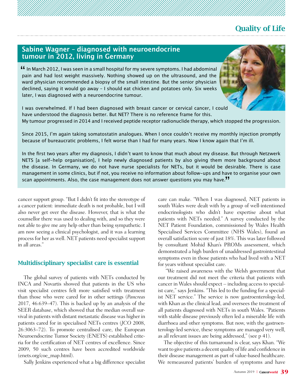#### **Sabine Wagner – diagnosed with neuroendocrine tumour in 2012, living in Germany**

In March 2012, I was seen in a small hospital for my severe symptoms. I had abdominal **Part In March 2012, I was seen in a small hospital for my severe symptoms. I had abdominal**<br>pain and had lost weight massively. Nothing showed up on the ultrasound, and the ward physician recommended a biopsy of the small intestine. But the senior physician declined, saying it would go away – I should eat chicken and potatoes only. Six weeks later, I was diagnosed with a neuroendocrine tumour.



I was overwhelmed. If I had been diagnosed with breast cancer or cervical cancer, I could have understood the diagnosis better. But NET? There is no reference frame for this.

My tumour progressed in 2014 and I received peptide receptor radionuclide therapy, which stopped the progression.

Since 2015, I'm again taking somatostatin analogues. When I once couldn't receive my monthly injection promptly because of bureaucratic problems, I felt worse than I had for many years. Now I know again that I'm ill.

In the first two years after my diagnosis, I didn't want to know that much about my disease. But through Netzwerk NETS [a self-help organisation], I help newly diagnosed patients by also giving them more background about the disease. In Germany, we do not have nurse specialists for NETs, but it would be desirable. There is case management in some clinics, but if not, you receive no information about follow-ups and have to organise your own scan appointments. Also, the case management does not answer questions you may have. "

cancer support group. "But I didn't fit into the stereotype of a cancer patient: immediate death is not probable, but I will also never get over the disease. However, that is what the counsellor there was used to dealing with, and so they were not able to give me any help other than being sympathetic. I am now seeing a clinical psychologist, and it was a learning process for her as well. NET patients need specialist support in all areas."

#### Multidisciplinary specialist care is essential

The global survey of patients with NETs conducted by INCA and Novartis showed that patients in the US who visit specialist centres felt more satisfied with treatment than those who were cared for in other settings (*Pancreas* 2017, 46:639–47). This is backed up by an analysis of the SEER database, which showed that the median overall survival in patients with distant metastatic disease was higher in patients cared for in specialised NETs centres (*JCO* 2008, 26:3063–72). To promote centralised care, the European Neuroendocrine Tumor Society (ENETS) established criteria for the certification of NET centres of excellence. Since 2009, 50 such centres have been accredited worldwide (enets.org/coe\_map.html).

Sally Jenkins experienced what a big difference specialist

care can make. "When I was diagnosed, NET patients in south Wales were dealt with by a group of well-intentioned endocrinologists who didn't have expertise about what patients with NETs needed." A survey conducted by the NET Patient Foundation, commissioned by Wales Health Specialised Services Committee (NHS Wales), found an overall satisfaction score of just 18%. This was later followed by consultant Mohid Khan's PROMs assessment, which demonstrated a high burden of unaddressed gastrointestinal symptoms even in those patients who had lived with a NET for years without specialist care.

 "We raised awareness with the Welsh government that our treatment did not meet the criteria that patients with cancer in Wales should expect – including access to specialist care," says Jenkins. "This led to the funding for a specialist NET service." The service is now gastroenterology-led, with Khan as the clinical lead, and oversees the treatment of all patients diagnosed with NETs in south Wales. "Patients with stable disease previously often led a miserable life with diarrhoea and other symptoms. But now, with the gastroenterology-led service, these symptoms are managed very well, as all relevant issues are being addressed," (see p 41).

The objective of this turnaround is clear, says Khan. "We want to give patients a decent quality of life and confidence in their disease management as part of value-based healthcare. We remeasured patients' burden of symptoms and have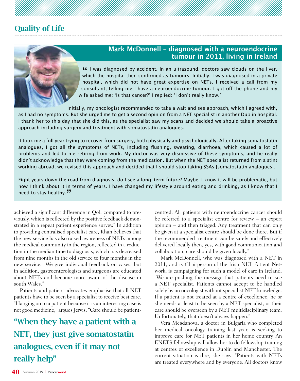

#### **Mark McDonnell – diagnosed with a neuroendocrine tumour in 2011, living in Ireland**

**If** I was diagnosed by accident. In an ultrasound, doctors saw clouds on the liver, If I was diagnosed by accident. In an unrasound, doctors saw clouds on the liver,<br>which the hospital then confirmed as tumours. Initially, I was diagnosed in a private hospital, which did not have great expertise on NETs. I received a call from my consultant, telling me I have a neuroendocrine tumour. I got off the phone and my wife asked me: 'Is that cancer?' I replied: 'I don't really know.'

Initially, my oncologist recommended to take a wait and see approach, which I agreed with, as I had no symptoms. But she urged me to get a second opinion from a NET specialist in another Dublin hospital. I thank her to this day that she did this, as the specialist saw my scans and decided we should take a proactive approach including surgery and treatment with somatostatin analogues.

It took me a full year trying to recover from surgery, both physically and psychologically. After taking somatostatin analogues, I got all the symptoms of NETs, including flushing, sweating, diarrhoea, which caused a lot of problems and led to me retiring from work. My doctor was very dismissive of these symptoms, and he really didn't acknowledge that they were coming from the medication. But when the NET specialist returned from a stint working abroad, we revised this approach and decided that I should stop taking SSAs [somatostatin analogues].

Eight years down the road from diagnosis, do I see a long-term future? Maybe. I know it will be problematic, but now I think about it in terms of years. I have changed my lifestyle around eating and drinking, as I know that I need to stay healthy. "

achieved a significant difference in QoL compared to previously, which is reflected by the positive feedback demonstrated in a repeat patient experience survey." In addition to providing centralised specialist care, Khan believes that the new service has also raised awareness of NETs among the medical community in the region, reflected in a reduction in the median time to diagnosis, which has decreased from nine months in the old service to four months in the new service. "We give individual feedback on cases, but in addition, gastroenterologists and surgeons are educated about NETs and become more aware of the disease in south Wales."

Patients and patient advocates emphasise that all NET patients have to be seen by a specialist to receive best care. "Hanging on to a patient because it is an interesting case is not good medicine," argues Jervis. "Care should be patient-

# "When they have a patient with a NET, they just give somatostatin analogues, even if it may not really help"

centred. All patients with neuroendocrine cancer should be referred to a specialist centre for review – an expert opinion – and then triaged. Any treatment that can only be given at a specialist centre should be done there. But if the recommended treatment can be safely and effectively delivered locally then, yes, with good communication and collaboration, care should be given locally."

Mark McDonnell, who was diagnosed with a NET in 2011, and is Chairperson of the Irish NET Patient Network, is campaigning for such a model of care in Ireland. "We are pushing the message that patients need to see a NET specialist. Patients cannot accept to be handled solely by an oncologist without specialist NET knowledge. If a patient is not treated at a centre of excellence, he or she needs at least to be seen by a NET specialist, or their care should be overseen by a NET multidisciplinary team. Unfortunately, that doesn't always happen."

Vera Megdanova, a doctor in Bulgaria who completed her medical oncology training last year, is seeking to improve care for NET patients in her home country. An ENETS fellowship will allow her to do fellowship training at centres of excellence in Dublin and Manchester. The current situation is dire, she says: "Patients with NETs are treated everywhere and by everyone. All doctors know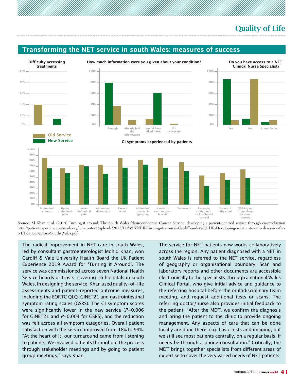#### **Transforming the NET service in south Wales: measures of success**



**How much information were you given about your condition?**







**GI symptoms experienced by patients**



Source: M Khan et al. (2019) Turning it around: The South Wales Neuroendocrine Cancer Service, developing a patient-centred service through co-production http://patientexperiencenetwork.org/wp-content/uploads/2013/11/WINNER-Turning-it-around-Cardiff-and-ValeUHB-Developing-a-patient-centred-service-for-NET-cancer-across-South-Wales.pdf

The radical improvement in NET care in south Wales, led by consultant gastroenterologist Mohid Khan, won Cardiff & Vale University Health Board the UK Patient Experience 2019 Award for 'Turning it Around'. The service was commissioned across seven National Health Service boards or trusts, covering 16 hospitals in south Wales. In designing the service, Khan used quality-of-life assessments and patient-reported outcome measures, including the EORTC QLQ-GINET21 and gastrointestinal symptom rating scales (GSRS). The GI symptom scores were significantly lower in the new service  $(P=0.006$ for GINET21 and  $P=0.004$  for GSRS), and the reduction was felt across all symptom categories. Overall patient satisfaction with the service improved from 18% to 99%. "At the heart of it, our turnaround came from listening to patients. We involved patients throughout the process through stakeholder meetings and by going to patient group meetings," says Khan.

The service for NET patients now works collaboratively across the region. Any patient diagnosed with a NET in south Wales is referred to the NET service, regardless of geography or organisational boundary. Scan and laboratory reports and other documents are accessible electronically to the specialists, through a national Wales Clinical Portal, who give initial advice and guidance to the referring hospital before the multidisciplinary team meeting, and request additional tests or scans. The referring doctor/nurse also provides initial feedback to the patient. "After the MDT, we confirm the diagnosis and bring the patient to the clinic to provide ongoing management. Any aspects of care that can be done locally are done there, e.g. basic tests and imaging, but we still see most patients centrally, on a regular basis, if needs be through a phone consultation." Critically, the MDT brings together specialists from different areas of expertise to cover the very varied needs of NET patients.